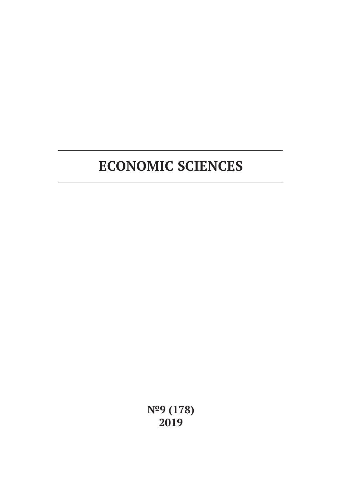**№9 (178) 2019**

# **ECONOMIC SCIENCES**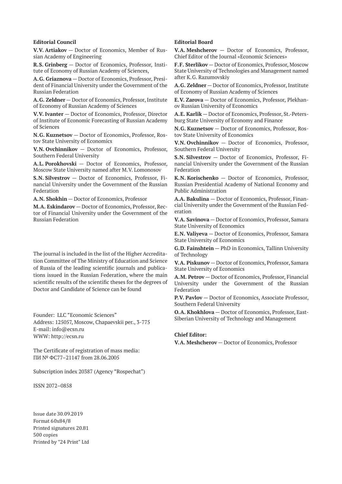#### **Editorial Council**

**V.V. Artiakov** — Doctor of Economics, Member of Russian Academy of Engineering

**R.S. Grinberg** — Doctor of Economics, Professor, Institute of Economy of Russian Academy of Sciences,

**A.G. Griaznova** — Doctor of Economics, Professor, President of Financial University under the Government of the Russian Federation

**A.G. Zeldner** — Doctor of Economics, Professor, Institute of Economy of Russian Academy of Sciences

**V.V. Ivanter** — Doctor of Economics, Professor, Director of Institute of Economic Forecasting of Russian Academy of Sciences

**N.G. Kuznetsov** — Doctor of Economics, Professor, Rostov State University of Economics

**V.N. Ovchinnikov** — Doctor of Economics, Professor, Southern Federal University

**A.L. Porokhovski** — Doctor of Economics, Professor, Moscow State University named after M.V. Lomonosov

**S.N. Silvestrov** — Doctor of Economics, Professor, Financial University under the Government of the Russian Federation

**A.N. Shokhin** — Doctor of Economics, Professor

**M.A. Eskindarov** — Doctor of Economics, Professor, Rector of Financial University under the Government of the Russian Federation

The journal is included in the list of the Higher Accreditation Committee of The Ministry of Education and Science of Russia of the leading scientific journals and publications issued in the Russian Federation, where the main scientific results of the scientific theses for the degrees of Doctor and Candidate of Science can be found

Founder: LLC "Economic Sciences" Address: 125057, Moscow, Chapaevskii per., 3-775 E-mail: info@ecsn.ru WWW: http://ecsn.ru

The Certificate of registration of mass media: ПИ № ФС77–21147 from 28.06.2005

Subscription index 20387 (Agency "Rospechat")

ISSN 2072–0858

Issue date 30.09.2019 Format 60х84/8 Printed signatures 20.81 500 copies Printed by "24 Print" Ltd

#### **Editorial Board**

**V.A. Meshcherov** — Doctor of Economics, Professor, Chief Editor of the Journal «Economic Sciences»

**F.F. Sterlikov** — Doctor of Economics, Professor, Moscow State University of Technologies and Management named after K.G. Razumovskiy

**A.G. Zeldner** — Doctor of Economics, Professor, Institute of Economy of Russian Academy of Sciences

**E.V. Zarova** — Doctor of Economics, Professor, Plekhanov Russian University of Economics

**A.E. Karlik** — Doctor of Economics, Professor, St.-Petersburg State University of Economy and Finance

**N.G. Kuznetsov** — Doctor of Economics, Professor, Rostov State University of Economics

**V.N. Ovchinnikov** — Doctor of Economics, Professor, Southern Federal University

**S.N. Silvestrov** — Doctor of Economics, Professor, Financial University under the Government of the Russian Federation

**K.N. Korischenko** — Doctor of Economics, Professor, Russian Presidential Academy of National Economy and Public Administration

**A.A. Bakulina** — Doctor of Economics, Professor, Financial University under the Government of the Russian Federation

**V.A. Savinova** — Doctor of Economics, Professor, Samara State University of Economics

**E.N. Valiyeva** — Doctor of Economics, Professor, Samara State University of Economics

**G.D. Fainshtein** — PhD in Economics, Tallinn University of Technology

**V.A. Piskunov** — Doctor of Economics, Professor, Samara State University of Economics

**A.M. Petrov** — Doctor of Economics, Professor, Financial University under the Government of the Russian Federation

**P.V. Pavlov** — Doctor of Economics, Associate Professor, Southern Federal University

**O.A. Khokhlova** — Doctor of Economics, Professor, East-Siberian University of Technology and Management

#### **Chief Editor:**

**V.A. Meshcherov** — Doctor of Economics, Professor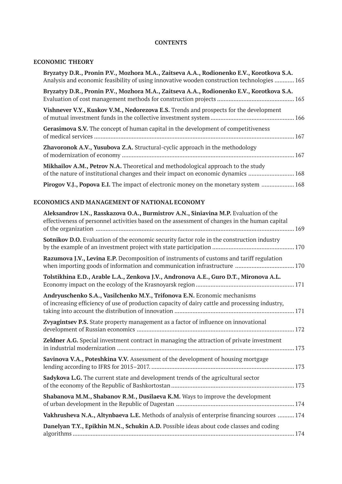## **CONTENTS**

## **ECONOMIC THEORY**

| Bryzatyy D.R., Pronin P.V., Mozhora M.A., Zaitseva A.A., Rodionenko E.V., Korotkova S.A.<br>Analysis and economic feasibility of using innovative wooden construction technologies  165 |  |
|-----------------------------------------------------------------------------------------------------------------------------------------------------------------------------------------|--|
| Bryzatyy D.R., Pronin P.V., Mozhora M.A., Zaitseva A.A., Rodionenko E.V., Korotkova S.A.                                                                                                |  |
| Vishnever V.Y., Kuskov V.M., Nedorezova E.S. Trends and prospects for the development                                                                                                   |  |
| <b>Gerasimova S.V.</b> The concept of human capital in the development of competitiveness                                                                                               |  |
| <b>Zhavoronok A.V., Yusubova Z.A.</b> Structural-cyclic approach in the methodology                                                                                                     |  |
| Mikhailov A.M., Petrov N.A. Theoretical and methodological approach to the study<br>of the nature of institutional changes and their impact on economic dynamics 168                    |  |
| <b>Pirogov V.J., Popova E.I.</b> The impact of electronic money on the monetary system  168                                                                                             |  |

## **ECONOMICS AND MANAGEMENT OF NATIONAL ECONOMY**

| Aleksandrov I.N., Rasskazova O.A., Burmistrov A.N., Siniavina M.P. Evaluation of the<br>effectiveness of personnel activities based on the assessment of changes in the human capital |
|---------------------------------------------------------------------------------------------------------------------------------------------------------------------------------------|
|                                                                                                                                                                                       |
| <b>Sotnikov D.O.</b> Evaluation of the economic security factor role in the construction industry                                                                                     |
| Razumova J.V., Levina E.P. Decomposition of instruments of customs and tariff regulation<br>when importing goods of information and communication infrastructure  170                 |
| Tolstikhina E.D., Arable L.A., Zenkova J.V., Andronova A.E., Guro D.T., Mironova A.L.                                                                                                 |
| Andryuschenko S.A., Vasilchenko M.Y., Trifonova E.N. Economic mechanisms<br>of increasing efficiency of use of production capacity of dairy cattle and processing industry,           |
| Zvyagintsev P.S. State property management as a factor of influence on innovational                                                                                                   |
| Zeldner A.G. Special investment contract in managing the attraction of private investment                                                                                             |
| Savinova V.A., Poteshkina V.V. Assessment of the development of housing mortgage                                                                                                      |
| Sadykova L.G. The current state and development trends of the agricultural sector                                                                                                     |
| Shabanova M.M., Shabanov R.M., Dusilaeva K.M. Ways to improve the development                                                                                                         |
| Vakhrusheva N.A., Altynbaeva L.E. Methods of analysis of enterprise financing sources  174                                                                                            |
| Danelyan T.Y., Epikhin M.N., Schukin A.D. Possible ideas about code classes and coding                                                                                                |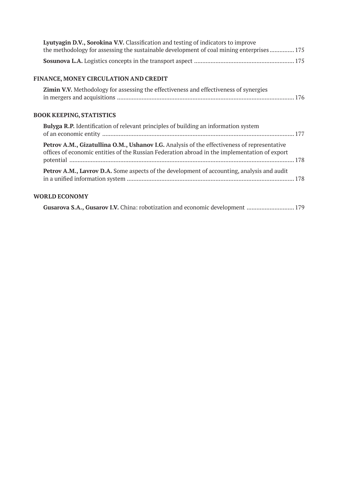| Lyutyagin D.V., Sorokina V.V. Classification and testing of indicators to improve        |  |
|------------------------------------------------------------------------------------------|--|
| the methodology for assessing the sustainable development of coal mining enterprises 175 |  |
|                                                                                          |  |

## **FINANCE, MONEY CIRCULATION AND CREDIT**

| Zimin V.V. Methodology for assessing the effectiveness and effectiveness of synergies |
|---------------------------------------------------------------------------------------|
|                                                                                       |

## **BOOK KEEPING, STATISTICS**

| <b>Bulyga R.P.</b> Identification of relevant principles of building an information system                                                                                                   |  |
|----------------------------------------------------------------------------------------------------------------------------------------------------------------------------------------------|--|
| Petrov A.M., Gizatullina O.M., Ushanov I.G. Analysis of the effectiveness of representative<br>offices of economic entities of the Russian Federation abroad in the implementation of export |  |
| <b>Petrov A.M., Lavrov D.A.</b> Some aspects of the development of accounting, analysis and audit                                                                                            |  |

## **WORLD ECONOMY**

|  | Gusarova S.A., Gusarov I.V. China: robotization and economic development  179 |  |
|--|-------------------------------------------------------------------------------|--|
|--|-------------------------------------------------------------------------------|--|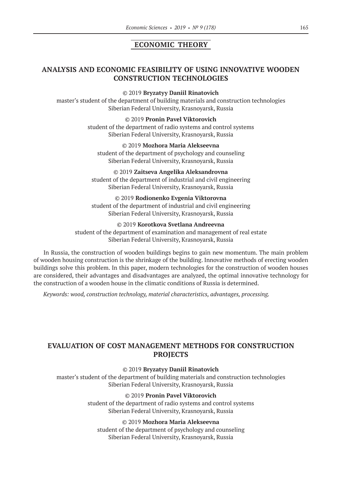# **ECONOMIC THEORY**

# **ANALYSIS AND ECONOMIC FEASIBILITY OF USING INNOVATIVE WOODEN CONSTRUCTION TECHNOLOGIES**

©© 2019 **Bryzatyy Daniil Rinatovich**

master's student of the department of building materials and construction technologies Siberian Federal University, Krasnoyarsk, Russia

> ©© 2019 **Pronin Pavel Viktorovich** student of the department of radio systems and control systems Siberian Federal University, Krasnoyarsk, Russia

©© 2019 **Mozhora Maria Alekseevna** student of the department of psychology and counseling Siberian Federal University, Krasnoyarsk, Russia

©© 2019 **Zaitseva Angelika Aleksandrovna** student of the department of industrial and civil engineering Siberian Federal University, Krasnoyarsk, Russia

©© 2019 **Rodionenko Evgenia Viktorovna** student of the department of industrial and civil engineering Siberian Federal University, Krasnoyarsk, Russia

©© 2019 **Korotkova Svetlana Andreevna** student of the department of examination and management of real estate Siberian Federal University, Krasnoyarsk, Russia

In Russia, the construction of wooden buildings begins to gain new momentum. The main problem of wooden housing construction is the shrinkage of the building. Innovative methods of erecting wooden buildings solve this problem. In this paper, modern technologies for the construction of wooden houses are considered, their advantages and disadvantages are analyzed, the optimal innovative technology for the construction of a wooden house in the climatic conditions of Russia is determined.

*Keywords: wood, construction technology, material characteristics, advantages, processing.*

# **EVALUATION OF COST MANAGEMENT METHODS FOR CONSTRUCTION PROJECTS**

©© 2019 **Bryzatyy Daniil Rinatovich**

master's student of the department of building materials and construction technologies Siberian Federal University, Krasnoyarsk, Russia

#### ©© 2019 **Pronin Pavel Viktorovich**

student of the department of radio systems and control systems Siberian Federal University, Krasnoyarsk, Russia

## ©© 2019 **Mozhora Maria Alekseevna**

student of the department of psychology and counseling Siberian Federal University, Krasnoyarsk, Russia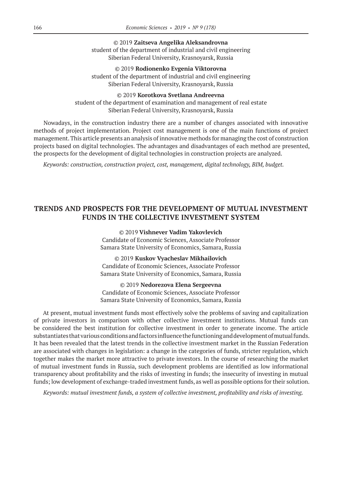©© 2019 **Zaitseva Angelika Aleksandrovna** student of the department of industrial and civil engineering Siberian Federal University, Krasnoyarsk, Russia

©© 2019 **Rodionenko Evgenia Viktorovna** student of the department of industrial and civil engineering Siberian Federal University, Krasnoyarsk, Russia

©© 2019 **Korotkova Svetlana Andreevna** student of the department of examination and management of real estate Siberian Federal University, Krasnoyarsk, Russia

Nowadays, in the construction industry there are a number of changes associated with innovative methods of project implementation. Project cost management is one of the main functions of project management. This article presents an analysis of innovative methods for managing the cost of construction projects based on digital technologies. The advantages and disadvantages of each method are presented, the prospects for the development of digital technologies in construction projects are analyzed.

*Keywords: construction, construction project, cost, management, digital technology, BIM, budget.*

## **TRENDS AND PROSPECTS FOR THE DEVELOPMENT OF MUTUAL INVESTMENT FUNDS IN THE COLLECTIVE INVESTMENT SYSTEM**

©© 2019 **Vishnever Vadim Yakovlevich**

Candidate of Economic Sciences, Associate Professor Samara State University of Economics, Samara, Russia

©© 2019 **Kuskov Vyacheslav Mikhailovich** Candidate of Economic Sciences, Associate Professor Samara State University of Economics, Samara, Russia

©© 2019 **Nedorezova Elena Sergeevna** Candidate of Economic Sciences, Associate Professor Samara State University of Economics, Samara, Russia

At present, mutual investment funds most effectively solve the problems of saving and capitalization of private investors in comparison with other collective investment institutions. Mutual funds can be considered the best institution for collective investment in order to generate income. The article substantiates that various conditions and factors influence the functioning and development of mutual funds. It has been revealed that the latest trends in the collective investment market in the Russian Federation are associated with changes in legislation: a change in the categories of funds, stricter regulation, which together makes the market more attractive to private investors. In the course of researching the market of mutual investment funds in Russia, such development problems are identified as low informational transparency about profitability and the risks of investing in funds; the insecurity of investing in mutual funds; low development of exchange-traded investment funds, as well as possible options for their solution.

*Keywords: mutual investment funds, a system of collective investment, profitability and risks of investing.*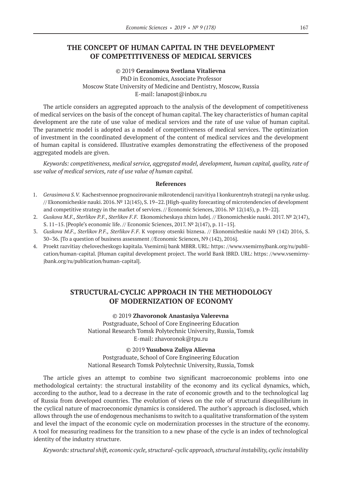## **THE CONCEPT OF HUMAN CAPITAL IN THE DEVELOPMENT OF COMPETITIVENESS OF MEDICAL SERVICES**

## ©© 2019 **Gerasimova Svetlana Vitalievna** PhD in Economics, Associate Professor Moscow State University of Medicine and Dentistry, Moscow, Russia E‑mail: lanapost@inbox.ru

The article considers an aggregated approach to the analysis of the development of competitiveness of medical services on the basis of the concept of human capital. The key characteristics of human capital development are the rate of use value of medical services and the rate of use value of human capital. The parametric model is adopted as a model of competitiveness of medical services. The optimization of investment in the coordinated development of the content of medical services and the development of human capital is considered. Illustrative examples demonstrating the effectiveness of the proposed aggregated models are given.

*Keywords: competitiveness, medical service, aggregated model, development, human capital, quality, rate of use value of medical services, rate of use value of human capital.*

#### **References**

- 1. *Gerasimova S.V.* Kachestvennoe prognozirovanie mikrotendencij razvitiya I konkurentnyh strategij na rynke uslug. // Ekonomicheskie nauki. 2016. № 12(145), S. 19–22. [High-quality forecasting of microtendencies of development and competitive strategy in the market of services. // Economic Sciences, 2016. № 12(145), p. 19–22].
- 2. *Guskova M.F., Sterlikov P.F., Sterlikov F.F.* Ekonomicheskaya zhizn ludej. // Ekonomicheskie nauki. 2017. № 2(147), S. 11–15. [People's economic life. // Economic Sciences, 2017. № 2(147), p. 11–15].
- 3. *Guskova M.F., Sterlikov P.F., Sterlikov F.F.* K voprosy otsenki biznesa. // Ekonomicheskie nauki N9 (142) 2016, S. 30–36. [To a question of business assessment //Economic Sciences, N9 (142), 2016].
- 4. Proekt razvitiay chelovecheskogo kapitala. Vsemirnij bank MBRR. URL: https: //www.vsemirnyjbank.org/ru/publication/human-capital. [Human capital development project. The world Bank IBRD. URL: https: //www.vsemirnyjbank.org/ru/publication/human-capital].

## **STRUCTURAL-CYCLIC APPROACH IN THE METHODOLOGY OF MODERNIZATION OF ECONOMY**

©© 2019 **Zhavoronok Anastasiya Valerevna** Postgraduate, School of Core Engineering Education National Research Tomsk Polytechnic University, Russia, Tomsk E‑mail: zhavoronok@tpu.ru

©© 2019 **Yusubova Zuliya Alievna**

Postgraduate, School of Core Engineering Education National Research Tomsk Polytechnic University, Russia, Tomsk

The article gives an attempt to combine two significant macroeconomic problems into one methodological certainty: the structural instability of the economy and its cyclical dynamics, which, according to the author, lead to a decrease in the rate of economic growth and to the technological lag of Russia from developed countries. The evolution of views on the role of structural disequilibrium in the cyclical nature of macroeconomic dynamics is considered. The author's approach is disclosed, which allows through the use of endogenous mechanisms to switch to a qualitative transformation of the system and level the impact of the economic cycle on modernization processes in the structure of the economy. A tool for measuring readiness for the transition to a new phase of the cycle is an index of technological identity of the industry structure.

*Keywords: structural shift, economic cycle, structural-cyclic approach, structural instability, cyclic instability*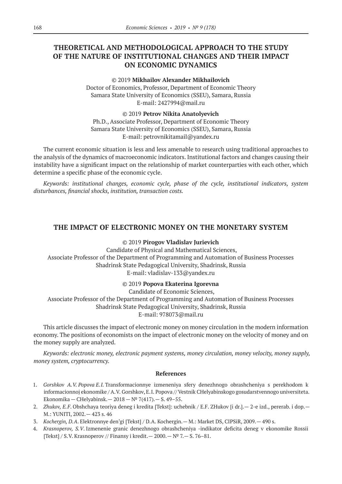# **THEORETICAL AND METHODOLOGICAL APPROACH TO THE STUDY OF THE NATURE OF INSTITUTIONAL CHANGES AND THEIR IMPACT ON ECONOMIC DYNAMICS**

#### ©© 2019 **Mikhailov Alexander Mikhailovich**

Doctor of Economics, Professor, Department of Economic Theory Samara State University of Economics (SSEU), Samara, Russia E‑mail: 2427994@mail.ru

#### ©© 2019 **Petrov Nikita Anatolyevich**

Ph.D., Associate Professor, Department of Economic Theory Samara State University of Economics (SSEU), Samara, Russia E‑mail: petrovnikitamail@yandex.ru

The current economic situation is less and less amenable to research using traditional approaches to the analysis of the dynamics of macroeconomic indicators. Institutional factors and changes causing their instability have a significant impact on the relationship of market counterparties with each other, which determine a specific phase of the economic cycle.

*Keywords: institutional changes, economic cycle, phase of the cycle, institutional indicators, system disturbances, financial shocks, institution, transaction costs.*

## **THE IMPACT OF ELECTRONIC MONEY ON THE MONETARY SYSTEM**

©© 2019 **Pirogov Vladislav Jurievich**

Candidate of Physical and Mathematical Sciences, Associate Professor of the Department of Programming and Automation of Business Processes Shadrinsk State Pedagogical University, Shadrinsk, Russia E‑mail: vladislav‑133@yandex.ru

©© 2019 **Popova Ekaterina Igorevna**

Candidate of Economic Sciences, Associate Professor of the Department of Programming and Automation of Business Processes Shadrinsk State Pedagogical University, Shadrinsk, Russia E‑mail: 978073@mail.ru

This article discusses the impact of electronic money on money circulation in the modern information economy. The positions of economists on the impact of electronic money on the velocity of money and on the money supply are analyzed.

*Keywords: electronic money, electronic payment systems, money circulation, money velocity, money supply, money system, cryptocurrency.*

- 1. *Gorshkov A.V. Popova E.I.* Transformacionnye izmeneniya sfery denezhnogo obrashcheniya s perekhodom k informacionnoj ekonomike / A.V. Gorshkov, E.I. Popova // Vestnik CHelyabinskogo gosudarstvennogo universiteta. Ekonomika — CHelyabinsk.— 2018 —№ 7(417).— S. 49–55.
- 2. *Zhukov, E.F*. Obshchaya teoriya deneg i kredita [Tekst]: uchebnik / E.F. ZHukov [i dr.].— 2-e izd., pererab. i dop.— M.: YUNITI, 2002.— 423 s. 46
- 3. *Kochergin, D.A*. Elektronnye den'gi [Tekst] / D.A. Kochergin.— M.: Market DS, CIPSiR, 2009.— 490 s.
- 4. *Krasnoperov, S.V*. Izmenenie granic denezhnogo obrashcheniya -indikator deficita deneg v ekonomike Rossii [Tekst] / S.V. Krasnoperov // Finansy i kredit.— 2000.— № 7.— S. 76–81.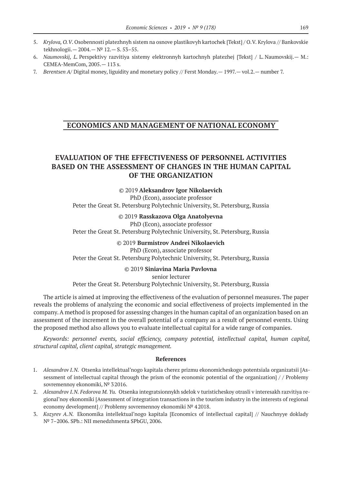- 5. *Krylova, O.V*. Osobennosti platezhnyh sistem na osnove plastikovyh kartochek [Tekst] / O.V. Krylova // Bankovskie tekhnologii.— 2004.— № 12.— S. 53–55.
- 6. *Naumovskij, L.* Perspektivy razvitiya sistemy elektronnyh kartochnyh platezhej [Tekst] / L. Naumovskij.— M.: CEMEA-MemCom, 2005.— 113 s.
- 7. *Berentsen A*/ Digital money, liguidity and monetary policy // Ferst Monday.— 1997.— vol.2.— number 7.

## **ECONOMICS AND MANAGEMENT OF NATIONAL ECONOMY**

# **EVALUATION OF THE EFFECTIVENESS OF PERSONNEL ACTIVITIES BASED ON THE ASSESSMENT OF CHANGES IN THE HUMAN CAPITAL OF THE ORGANIZATION**

©© 2019 **Aleksandrov Igor Nikolaevich** PhD (Econ), associate professor Peter the Great St. Petersburg Polytechnic University, St. Petersburg, Russia

©© 2019 **Rasskazova Olga Anatolyevna**

PhD (Econ), associate professor Peter the Great St. Petersburg Polytechnic University, St. Petersburg, Russia

> ©© 2019 **Burmistrov Andrei Nikolaevich** PhD (Econ), associate professor

Peter the Great St. Petersburg Polytechnic University, St. Petersburg, Russia

©© 2019 **Siniavina Maria Pavlovna**

senior lecturer Peter the Great St. Petersburg Polytechnic University, St. Petersburg, Russia

The article is aimed at improving the effectiveness of the evaluation of personnel measures. The paper reveals the problems of analyzing the economic and social effectiveness of projects implemented in the company. A method is proposed for assessing changes in the human capital of an organization based on an assessment of the increment in the overall potential of a company as a result of personnel events. Using the proposed method also allows you to evaluate intellectual capital for a wide range of companies.

*Keywords: personnel events, social efficiency, company potential, intellectual capital, human capital, structural capital, client capital, strategic management.*

- 1. *Alexandrov I.N.* Otsenka intellektual'nogo kapitala cherez prizmu ekonomicheskogo potentsiala organizatsii [Assessment of intellectual capital through the prism of the economic potential of the organization] / / Problemy sovremennoy ekonomiki, № 32016.
- 2. *Alexandrov I.N. Fedorova M. Yu.* Otsenka integratsionnykh sdelok v turisticheskoy otrasli v interesakh razvitiya regional'noy ekonomiki [Assessment of integration transactions in the tourism industry in the interests of regional economy development] // Problemy sovremennoy ekonomiki № 42018.
- 3. *Kozyrev A.N.* Ekonomika intellektual'nogo kapitala [Economics of intellectual capital] // Nauchnyye doklady № 7–2006. SPb.: NII menedzhmenta SPbGU, 2006.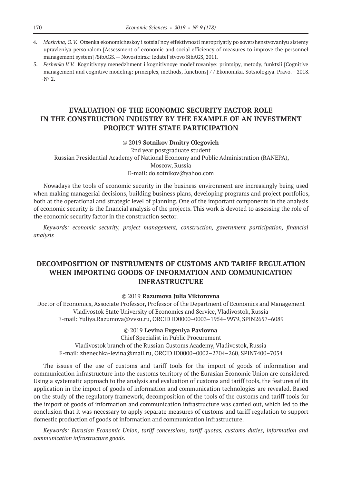- 4. *Moskvina, O.V.* Otsenka ekonomicheskoy i sotsial'noy effektivnosti meropriyatiy po sovershenstvovaniyu sistemy upravleniya personalom [Assessment of economic and social efficiency of measures to improve the personnel management system] /SibAGS.— Novosibirsk: Izdatel'stvovo SibAGS, 2011.
- 5. *Feshenko V.V.* Kognitivnyy menedzhment i kognitivnoye modelirovaniye: printsipy, metody, funktsii [Cognitive management and cognitive modeling: principles, methods, functions] / / Ekonomika. Sotsiologiya. Pravo.—2018.  $-N^2$  2.

# **EVALUATION OF THE ECONOMIC SECURITY FACTOR ROLE IN THE CONSTRUCTION INDUSTRY BY THE EXAMPLE OF AN INVESTMENT PROJECT WITH STATE PARTICIPATION**

## ©© 2019 **Sotnikov Dmitry Olegovich**

2nd year postgraduate student Russian Presidential Academy of National Economy and Public Administration (RANEPA), Moscow, Russia E‑mail: do.sotnikov@yahoo.com

Nowadays the tools of economic security in the business environment are increasingly being used when making managerial decisions, building business plans, developing programs and project portfolios, both at the operational and strategic level of planning. One of the important components in the analysis of economic security is the financial analysis of the projects. This work is devoted to assessing the role of the economic security factor in the construction sector.

*Keywords: economic security, project management, construction, government participation, financial analysis*

# **DECOMPOSITION OF INSTRUMENTS OF CUSTOMS AND TARIFF REGULATION WHEN IMPORTING GOODS OF INFORMATION AND COMMUNICATION INFRASTRUCTURE**

## ©© 2019 **Razumova Julia Viktorovna**

Doctor of Economics, Associate Professor, Professor of the Department of Economics and Management Vladivostok State University of Economics and Service, Vladivostok, Russia E‑mail: Yuliya.Razumova@vvsu.ru, ORCID ID0000–0003–1954–9979, SPIN2657–6089

#### ©© 2019 **Levina Evgeniya Pavlovna**

Chief Specialist in Public Procurement Vladivostok branch of the Russian Customs Academy, Vladivostok, Russia E‑mail: zhenechka-levina@mail.ru, ORCID ID0000–0002–2704–260, SPIN7400–7054

The issues of the use of customs and tariff tools for the import of goods of information and communication infrastructure into the customs territory of the Eurasian Economic Union are considered. Using a systematic approach to the analysis and evaluation of customs and tariff tools, the features of its application in the import of goods of information and communication technologies are revealed. Based on the study of the regulatory framework, decomposition of the tools of the customs and tariff tools for the import of goods of information and communication infrastructure was carried out, which led to the conclusion that it was necessary to apply separate measures of customs and tariff regulation to support domestic production of goods of information and communication infrastructure.

*Keywords: Eurasian Economic Union, tariff concessions, tariff quotas, customs duties, information and communication infrastructure goods.*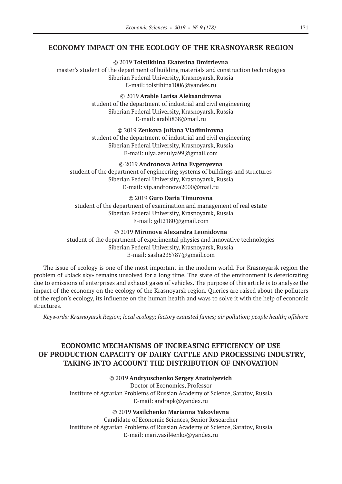## **ECONOMY IMPACT ON THE ECOLOGY OF THE KRASNOYARSK REGION**

©© 2019 **Tolstikhina Ekaterina Dmitrievna** master's student of the department of building materials and construction technologies Siberian Federal University, Krasnoyarsk, Russia E‑mail: tolstihina1006@yandex.ru

> ©© 2019 **Arable Larisa Aleksandrovna** student of the department of industrial and civil engineering Siberian Federal University, Krasnoyarsk, Russia E‑mail: arabli838@mail.ru

> ©© 2019 **Zenkova Juliana Vladimirovna** student of the department of industrial and civil engineering Siberian Federal University, Krasnoyarsk, Russia E-mail: ulya.zenulya99@gmail.com

©© 2019 **Andronova Arina Evgenyevna** student of the department of engineering systems of buildings and structures Siberian Federal University, Krasnoyarsk, Russia E‑mail: vip.andronova2000@mail.ru

©© 2019 **Guro Daria Timurovna** student of the department of examination and management of real estate Siberian Federal University, Krasnoyarsk, Russia E-mail: gdt2180@gmail.com

©© 2019 **Mironova Alexandra Leonidovna** student of the department of experimental physics and innovative technologies Siberian Federal University, Krasnoyarsk, Russia E‑mail: sasha235787@gmail.com

The issue of ecology is one of the most important in the modern world. For Krasnoyarsk region the problem of «black sky» remains unsolved for a long time. The state of the environment is deteriorating due to emissions of enterprises and exhaust gases of vehicles. The purpose of this article is to analyze the impact of the economy on the ecology of the Krasnoyarsk region. Queries are raised about the polluters of the region's ecology, its influence on the human health and ways to solve it with the help of economic structures.

*Keywords: Krasnoyarsk Region; local ecology; factory exausted fumes; air pollution; people health; offshore*

# **ECONOMIC MECHANISMS OF INCREASING EFFICIENCY OF USE OF PRODUCTION CAPACITY OF DAIRY CATTLE AND PROCESSING INDUSTRY, TAKING INTO ACCOUNT THE DISTRIBUTION OF INNOVATION**

### ©© 2019 **Andryuschenko Sergey Anatolyevich**

Doctor of Economics, Professor Institute of Agrarian Problems of Russian Academy of Science, Saratov, Russia E-mail: andrapk@yandex.ru

©© 2019 **Vasilchenko Мarianna Yakovlevna**

Сandidate of Economic Sciences, Senior Researcher Institute of Agrarian Problems of Russian Academy of Science, Saratov, Russia E‑mail: mari.vasil4enko@yandex.ru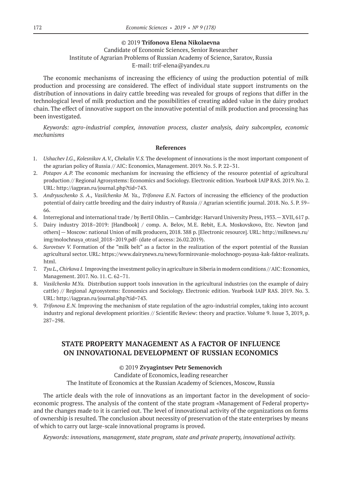#### ©© 2019 **Trifonova Elena Nikolaevna**

## Сandidate of Economic Sciences, Senior Researcher Institute of Agrarian Problems of Russian Academy of Science, Saratov, Russia Е‑mail: trif-elena@yandex.ru

The economic mechanisms of increasing the efficiency of using the production potential of milk production and processing are considered. The effect of individual state support instruments on the distribution of innovations in dairy cattle breeding was revealed for groups of regions that differ in the technological level of milk production and the possibilities of creating added value in the dairy product chain. The effect of innovative support on the innovative potential of milk production and processing has been investigated.

*Keywords: agro-industrial complex, innovation process, cluster analysis, dairy subcomplex, economic mechanisms*

#### **References**

- 1. *Ushachev I.G., Kolesnikov A.V., Chekalin V.S.* The development of innovations is the most important component of the agrarian policy of Russia // AIC: Economics, Management. 2019. No. 5. P. 22–31.
- 2. *Potapov A.P.*  The economic mechanism for increasing the efficiency of the resource potential of agricultural production // Regional Agrosystems: Economics and Sociology. Electronic edition. Yearbook IAIP RAS. 2019. No. 2. URL: http://iagpran.ru/journal.php?tid=743.
- 3. *Andryuschenko S. A., Vasilchenko M. Ya., Trifonova E.N.*  Factors of increasing the efficiency of the production potential of dairy cattle breeding and the dairy industry of Russia // Agrarian scientific journal. 2018. No. 5. P. 59-66.
- 4. Interregional and international trade / by Bertil Ohlin.— Cambridge: Harvard University Press, 1933.— XVII, 617 p.
- 5. Dairy industry 2018–2019: [Handbook] / comp. A. Belov, M.E. Rebit, E.A. Moskovskovo, Etc. Newton [and others] — Moscow: national Union of milk producers, 2018. 388 p. [Electronic resource]. URL: http://milknews.ru/ img/molochnaya\_otrasl\_2018–2019.pdf- (date of access: 26.02.2019).
- 6. *Surovtsev V.* Formation of the "milk belt" as a factor in the realization of the export potential of the Russian agricultural sector. URL: https://www.dairynews.ru/news/formirovanie-molochnogo-poyasa-kak-faktor-realizats. html.
- 7. *Tyu L., Chirkova I.* Improving the investment policy in agriculture in Siberia in modern conditions // AIC: Economics, Management. 2017. No. 11. C. 62–71.
- 8. *Vasilchenko M.Ya*. Distribution support tools innovation in the agricultural industries (on the example of dairy cattle) // Regional Agrosystems: Economics and Sociology. Electronic edition. Yearbook IAIP RAS. 2019. No. 3. URL: http://iagpran.ru/journal.php?tid=743.
- 9. *Trifonova E.N.* Improving the mechanism of state regulation of the agro-industrial complex, taking into account industry and regional development priorities // Scientific Review: theory and practice. Volume 9. Issue 3, 2019, p. 287–298.

# **STATE PROPERTY MANAGEMENT AS A FACTOR OF INFLUENCE ON INNOVATIONAL DEVELOPMENT OF RUSSIAN ECONOMICS**

## ©© 2019 **Zvyagintsev Petr Semenovich**

Candidate of Economics, leading researcher The Institute of Economics at the Russian Academy of Sciences, Moscow, Russia

The article deals with the role of innovations as an important factor in the development of socioeconomic progress. The analysis of the content of the state program «Management of Federal property» and the changes made to it is carried out. The level of innovational activity of the organizations on forms of ownership is resulted. The conclusion about necessity of preservation of the state enterprises by means of which to carry out large-scale innovational programs is proved.

*Keywords: innovations, management, state program, state and private property, innovational activity.*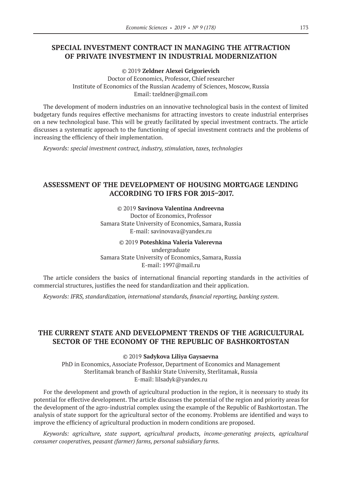# **SPECIAL INVESTMENT CONTRACT IN MANAGING THE ATTRACTION OF PRIVATE INVESTMENT IN INDUSTRIAL MODERNIZATION**

©© 2019 **Zeldner Alexei Grigorievich**

Doctor of Economics, Professor, Chief researcher Institute of Economics of the Russian Academy of Sciences, Moscow, Russia Еmail: tzeldner@gmail.com

The development of modern industries on an innovative technological basis in the context of limited budgetary funds requires effective mechanisms for attracting investors to create industrial enterprises on a new technological base. This will be greatly facilitated by special investment contracts. The article discusses a systematic approach to the functioning of special investment contracts and the problems of increasing the efficiency of their implementation.

*Keywords: special investment contract, industry, stimulation, taxes, technologies*

# **ASSESSMENT OF THE DEVELOPMENT OF HOUSING MORTGAGE LENDING ACCORDING TO IFRS FOR 2015–2017.**

#### ©© 2019 **Savinova Valentina Andreevna**

Doctor of Economics, Professor Samara State University of Economics, Samara, Russia E‑mail: savinovava@yandex.ru

©© 2019 **Poteshkina Valeria Valerevna** undergraduate Samara State University of Economics, Samara, Russia E-mail: 1997@mail.ru

The article considers the basics of international financial reporting standards in the activities of commercial structures, justifies the need for standardization and their application.

*Keywords: IFRS, standardization, international standards, financial reporting, banking system.*

# **THE CURRENT STATE AND DEVELOPMENT TRENDS OF THE AGRICULTURAL SECTOR OF THE ECONOMY OF THE REPUBLIC OF BASHKORTOSTAN**

©© 2019 **Sadykova Liliya Gaysaevna**

PhD in Economics, Associate Professor, Department of Economics and Management Sterlitamak branch of Bashkir State University, Sterlitamak, Russia E‑mail: lilsadyk@yandex.ru

For the development and growth of agricultural production in the region, it is necessary to study its potential for effective development. The article discusses the potential of the region and priority areas for the development of the agro-industrial complex using the example of the Republic of Bashkortostan. The analysis of state support for the agricultural sector of the economy. Problems are identified and ways to improve the efficiency of agricultural production in modern conditions are proposed.

*Keywords: agriculture, state support, agricultural products, income-generating projects, agricultural consumer cooperatives, peasant (farmer) farms, personal subsidiary farms.*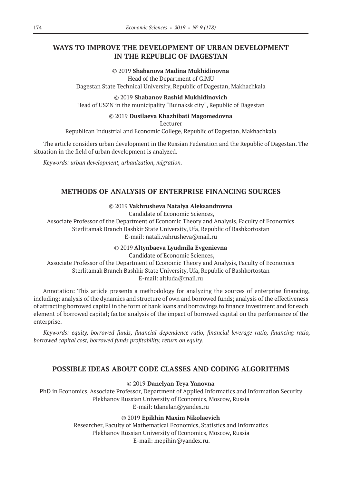# **WAYS TO IMPROVE THE DEVELOPMENT OF URBAN DEVELOPMENT IN THE REPUBLIC OF DAGESTAN**

©© 2019 **Shabanova Madina Mukhidinovna** Head of the Department of GiMU Dagestan State Technical University, Republic of Dagestan, Makhachkala

©© 2019 **Shabanov Rashid Mukhidinovich**

Head of USZN in the municipality "Buinaksk city", Republic of Dagestan

## ©© 2019 **Dusilaeva Khazhibati Magomedovna**

Lecturer

Republican Industrial and Economic College, Republic of Dagestan, Makhachkala

The article considers urban development in the Russian Federation and the Republic of Dagestan. The situation in the field of urban development is analyzed.

*Keywords: urban development, urbanization, migration.*

# **METHODS OF ANALYSIS OF ENTERPRISE FINANCING SOURCES**

## ©© 2019 **Vakhrusheva Natalya Aleksandrovna**

Candidate of Economic Sciences,

Associate Professor of the Department of Economic Theory and Analysis, Faculty of Economics Sterlitamak Branch Bashkir State University, Ufa, Republic of Bashkortostan E-mail: natali.vahrusheva@mail.ru

©© 2019 **Altynbaeva Lyudmila Evgenievna**

Candidate of Economic Sciences, Associate Professor of the Department of Economic Theory and Analysis, Faculty of Economics Sterlitamak Branch Bashkir State University, Ufa, Republic of Bashkortostan E-mail: altluda@mail.ru

Annotation: This article presents a methodology for analyzing the sources of enterprise financing, including: analysis of the dynamics and structure of own and borrowed funds; analysis of the effectiveness of attracting borrowed capital in the form of bank loans and borrowings to finance investment and for each element of borrowed capital; factor analysis of the impact of borrowed capital on the performance of the enterprise.

*Keywords: equity, borrowed funds, financial dependence ratio, financial leverage ratio, financing ratio, borrowed capital cost, borrowed funds profitability, return on equity.*

# **POSSIBLE IDEAS ABOUT CODE CLASSES AND CODING ALGORITHMS**

©© 2019 **Danelyan Teya Yanovna**

PhD in Economics, Associate Professor, Department of Applied Informatics and Information Security Plekhanov Russian University of Economics, Moscow, Russia E-mail: tdanelan@yandex.ru

©© 2019 **Epikhin Maxim Nikolaevich**

Researcher, Faculty of Mathematical Economics, Statistics and Informatics Plekhanov Russian University of Economics, Moscow, Russia E-mail: mepihin@yandex.ru.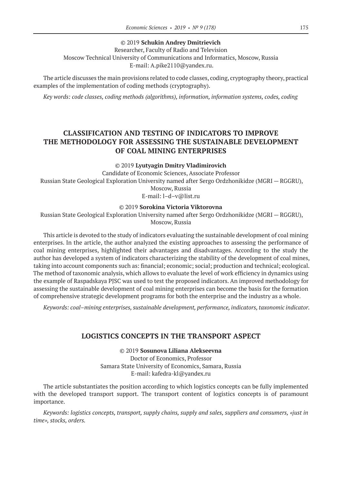## ©© 2019 **Schukin Andrey Dmitrievich**

Researcher, Faculty of Radio and Television Moscow Technical University of Communications and Informatics, Moscow, Russia E-mail: A.pike2110@yandex.ru.

The article discusses the main provisions related to code classes, coding, cryptography theory, practical examples of the implementation of coding methods (cryptography).

*Key words: code classes, coding methods (algorithms), information, information systems, codes, coding*

# **CLASSIFICATION AND TESTING OF INDICATORS TO IMPROVE THE METHODOLOGY FOR ASSESSING THE SUSTAINABLE DEVELOPMENT OF COAL MINING ENTERPRISES**

©© 2019 **Lyutyagin Dmitry Vladimirovich**

Candidate of Economic Sciences, Associate Professor Russian State Geological Exploration University named after Sergo Ordzhonikidze (MGRI — RGGRU), Moscow, Russia E‑mail: l–d–v@list.ru

#### ©© 2019 **Sorokina Victoria Viktorovna**

Russian State Geological Exploration University named after Sergo Ordzhonikidze (MGRI — RGGRU), Moscow, Russia

This article is devoted to the study of indicators evaluating the sustainable development of coal mining enterprises. In the article, the author analyzed the existing approaches to assessing the performance of coal mining enterprises, highlighted their advantages and disadvantages. According to the study the author has developed a system of indicators characterizing the stability of the development of coal mines, taking into account components such as: financial; economic; social; production and technical; ecological. The method of taxonomic analysis, which allows to evaluate the level of work efficiency in dynamics using the example of Raspadskaya PJSC was used to test the proposed indicators. An improved methodology for assessing the sustainable development of coal mining enterprises can become the basis for the formation of comprehensive strategic development programs for both the enterprise and the industry as a whole.

*Keywords: coal–mining enterprises, sustainable development, performance, indicators, taxonomic indicator.*

## **LOGISTICS CONCEPTS IN THE TRANSPORT ASPECT**

©© 2019 **Sosunova Liliana Alekseevna**

Doctor of Economics, Professor Samara State University of Economics, Samara, Russia E‑mail: kafedra-kl@yandex.ru

The article substantiates the position according to which logistics concepts can be fully implemented with the developed transport support. The transport content of logistics concepts is of paramount importance.

*Keywords: logistics concepts, transport, supply chains, supply and sales, suppliers and consumers, «just in time», stocks, orders.*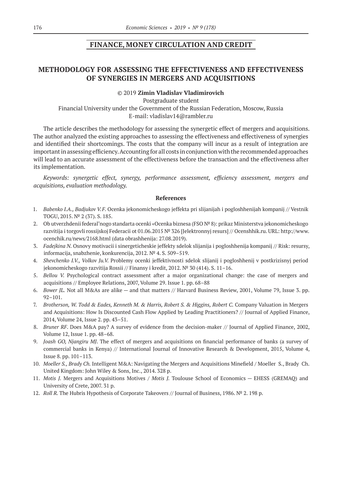## **FINANCE, MONEY CIRCULATION AND CREDIT**

# **METHODOLOGY FOR ASSESSING THE EFFECTIVENESS AND EFFECTIVENESS OF SYNERGIES IN MERGERS AND ACQUISITIONS**

#### ©© 2019 **Zimin Vladislav Vladimirovich**

Postgraduate student Financial University under the Government of the Russian Federation, Moscow, Russia E‑mail: vladislav14@rambler.ru

The article describes the methodology for assessing the synergetic effect of mergers and acquisitions. The author analyzed the existing approaches to assessing the effectiveness and effectiveness of synergies and identified their shortcomings. The costs that the company will incur as a result of integration are important in assessing efficiency. Accounting for all costs in conjunction with the recommended approaches will lead to an accurate assessment of the effectiveness before the transaction and the effectiveness after its implementation.

*Keywords: synergetic effect, synergy, performance assessment, efficiency assessment, mergers and acquisitions, evaluation methodology.*

- 1. *Babenko I.A., Badjukov V.F.* Ocenka jekonomicheskogo jeffekta pri slijanijah i pogloshhenijah kompanij // Vestnik TOGU, 2015. № 2 (37). S. 185.
- 2. Ob utverzhdenii federal'nogo standarta ocenki «Ocenka biznesa (FSO № 8): prikaz Ministerstva jekonomicheskogo razvitija i torgovli rossijskoj Federacii ot 01.06.2015 № 326 [Jelektronnyj resurs] // Ocenshhik.ru. URL: http://www. ocenchik.ru/news/2168.html (data obrashhenija: 27.08.2019).
- 3. *Fadejkina N.* Osnovy motivacii i sinergeticheskie jeffekty sdelok slijanija i pogloshhenija kompanij // Risk: resursy, informacija, snabzhenie, konkurencija, 2012. № 4. S. 509–519.
- 4. *Shevchenko I.V., Volkov Ju.V.* Problemy ocenki jeffektivnosti sdelok slijanij i pogloshhenij v postkrizisnyj period jekonomicheskogo razvitija Rossii // Finansy i kredit, 2012. № 30 (414). S. 11–16.
- 5. *Bellou V.*  Psychological contract assessment after a major organizational change: the case of mergers and acquisitions // Employee Relations, 2007, Volume 29. Issue 1. pp. 68–88
- 6. *Bower JL.* Not all M&As are alike and that matters // Harvard Business Review, 2001, Volume 79, Issue 3. pp. 92–101.
- 7. *Brotherson, W. Todd & Eades, Kenneth M. & Harris, Robert S. & Higgins, Robert C.* Company Valuation in Mergers and Acquisitions: How Is Discounted Cash Flow Applied by Leading Practitioners? // Journal of Applied Finance, 2014, Volume 24, Issue 2. pp. 43–51.
- 8. *Bruner RF*. Does M&A pay? A survey of evidence from the decision-maker // Journal of Applied Finance, 2002, Volume 12, Issue 1. pp. 48–68.
- 9. *Joash GO, Njangiru MJ*. The effect of mergers and acquisitions on financial performance of banks (a survey of commercial banks in Kenya) // International Journal of Innovative Research & Development, 2015, Volume 4, Issue 8. pp. 101–113.
- 10. *Moeller S., Brady Ch.* Intelligent M&A: Navigating the Mergers and Acquisitions Minefield / Moeller S., Brady Ch. United Kingdom: John Wiley & Sons, Inc., 2014. 328 p.
- 11. *Motis J.*  Mergers and Acquisitions Motives / *Motis J.*  Toulouse School of Economics EHESS (GREMAQ) and University of Crete, 2007. 31 p.
- 12. *Roll R.* The Hubris Hypothesis of Corporate Takeovers // Journal of Business, 1986. № 2. 198 p.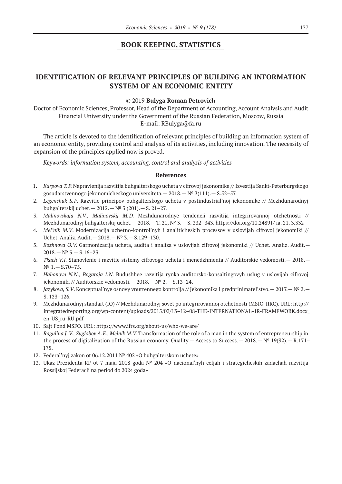## **BOOK KEEPING, STATISTICS**

## **IDENTIFICATION OF RELEVANT PRINCIPLES OF BUILDING AN INFORMATION SYSTEM OF AN ECONOMIC ENTITY**

#### ©© 2019 **Bulyga Roman Petrovich**

Doctor of Economic Sciences, Professor, Head of the Department of Accounting, Account Analysis and Audit Financial University under the Government of the Russian Federation, Moscow, Russia E‑mail: RBulyga@fa.ru

The article is devoted to the identification of relevant principles of building an information system of an economic entity, providing control and analysis of its activities, including innovation. The necessity of expansion of the principles applied now is proved.

*Keywords: information system, accounting, control and analysis of activities*

- 1. *Karpova T.P.* Napravlenija razvitija buhgalterskogo ucheta v cifrovoj jekonomike // Izvestija Sankt-Peterburgskogo gosudarstvennogo jekonomicheskogo universiteta.— 2018.— № 3(111).— S.52–57.
- 2. *Legenchuk S.F.*  Razvitie principov buhgalterskogo ucheta v postindustrial'noj jekonomike // Mezhdunarodnyj buhgalterskij uchet.— 2012.— № 3 (201).— S. 21–27.
- 3. *Malinovskaja N.V., Malinovskij M.D.*  Mezhdunarodnye tendencii razvitija integrirovannoj otchetnosti // Mezhdunarodnyj buhgalterskij uchet.— 2018.— T. 21, № 3.— S. 332–343. https://doi.org/10.24891/ ia. 21. 3.332
- 4. *Mel'nik M.V*. Modernizacija uchetno-kontrol'nyh i analiticheskih processov v uslovijah cifrovoj jekonomiki // Uchet. Analiz. Audit.— 2018.— № 3.— S.129–130.
- 5. *Rozhnova O.V.* Garmonizacija ucheta, audita i analiza v uslovijah cifrovoj jekonomiki // Uchet. Analiz. Audit.—  $2018 - N^{\circ} 3 - S.16 - 23.$
- 6. *Tkach V.I.* Stanovlenie i razvitie sistemy cifrovogo ucheta i menedzhmenta // Auditorskie vedomosti.— 2018.— № 1.— S.70–75.
- 7. *Hahonova N.N., Bogataja I.N.*  Budushhee razvitija rynka auditorsko-konsaltingovyh uslug v uslovijah cifrovoj jekonomiki // Auditorskie vedomosti.— 2018.— № 2.— S.13–24.
- 8. *Jazykova, S.V*. Konceptual'nye osnovy vnutrennego kontrolja // Jekonomika i predprinimatel'stvo.— 2017.— № 2.— S. 123–126.
- 9. Mezhdunarodnyj standart (IO) // Mezhdunarodnyj sovet po integrirovannoj otchetnosti (MSIO-IIRC). URL: http:// integratedreporting.org/wp-content/uploads/2015/03/13–12–08-THE-INTERNATIONAL–IR-FRAMEWORK.docx\_ en-US\_ru-RU.pdf
- 10. Sajt Fond MSFO. URL: https://www.ifrs.org/about-us/who-we-are/
- 11. *Ragulina J. V., Suglobov A.E., Melnik M.V.* Transformation of the role of a man in the system of entrepreneurship in the process of digitalization of the Russian economy. Quality — Access to Success.— 2018.— № 19(S2).— R.171– 175.
- 12. Federal'nyj zakon ot 06.12.2011 № 402 «O buhgalterskom uchete»
- 13. Ukaz Prezidenta RF ot 7 maja 2018 goda № 204 «O nacional'nyh celjah i strategicheskih zadachah razvitija Rossijskoj Federacii na period do 2024 goda»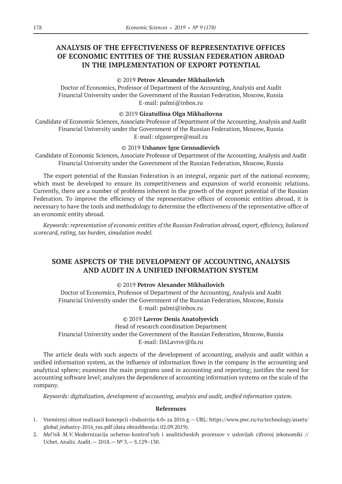# **ANALYSIS OF THE EFFECTIVENESS OF REPRESENTATIVE OFFICES OF ECONOMIC ENTITIES OF THE RUSSIAN FEDERATION ABROAD IN THE IMPLEMENTATION OF EXPORT POTENTIAL**

#### ©© 2019 **Petrov Alexander Mikhailovich**

Doctor of Economics, Professor of Department of the Accounting, Analysis and Audit Financial University under the Government of the Russian Federation, Moscow, Russia E‑mail: palmi@inbox.ru

#### ©© 2019 **Gizatullina Olga Mikhailovna**

Candidate of Economic Sciences, Associate Professor of Department of the Accounting, Analysis and Audit Financial University under the Government of the Russian Federation, Moscow, Russia E-mail: olgasergee@mail.ru

#### ©© 2019 **Ushanov Igor Gennadievich**

Candidate of Economic Sciences, Associate Professor of Department of the Accounting, Analysis and Audit Financial University under the Government of the Russian Federation, Moscow, Russia

The export potential of the Russian Federation is an integral, organic part of the national economy, which must be developed to ensure its competitiveness and expansion of world economic relations. Currently, there are a number of problems inherent in the growth of the export potential of the Russian Federation. To improve the efficiency of the representative offices of economic entities abroad, it is necessary to have the tools and methodology to determine the effectiveness of the representative office of an economic entity abroad.

*Keywords: representation of economic entities of the Russian Federation abroad, export, efficiency, balanced scorecard, rating, tax burden, simulation model.*

# **SOME ASPECTS OF THE DEVELOPMENT OF ACCOUNTING, ANALYSIS AND AUDIT IN A UNIFIED INFORMATION SYSTEM**

## ©© 2019 **Petrov Alexander Mikhailovich**

Doctor of Economics, Professor of Department of the Accounting, Analysis and Audit Financial University under the Government of the Russian Federation, Moscow, Russia E‑mail: palmi@inbox.ru

## ©© 2019 **Lavrov Denis Anatolyevich**

Head of research coordination Department Financial University under the Government of the Russian Federation, Moscow, Russia E-mail: DALavrov@fa.ru

The article deals with such aspects of the development of accounting, analysis and audit within a unified information system, as the influence of information flows in the company in the accounting and analytical sphere; examines the main programs used in accounting and reporting; justifies the need for accounting software level; analyzes the dependence of accounting information systems on the scale of the company.

*Keywords: digitalization, development of accounting, analysis and audit, unified information system.*

- 1. Vsemirnyj obzor realizacii koncepcii «Industrija 4.0» za 2016 g.— URL: https://www.pwc.ru/ru/technology/assets/ global industry-2016 rus.pdf (data obrashhenija: 02.09.2019).
- 2. *Mel'nik M.V.* Modernizacija uchetno-kontrol'nyh i analiticheskih processov v uslovijah cifrovoj jekonomiki // Uchet. Analiz. Audit.— 2018.— № 3.— S.129–130.